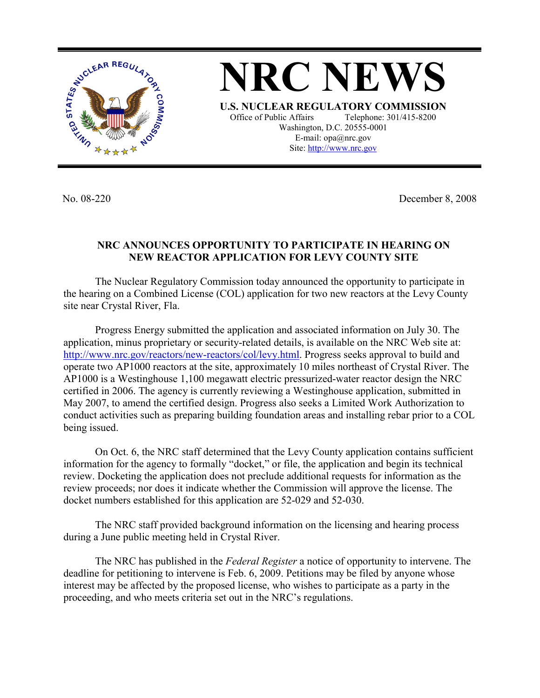

**NRC NEWS U.S. NUCLEAR REGULATORY COMMISSION** Office of Public Affairs Telephone: 301/415-8200 Washington, D.C. 20555-0001 E-mail: opa@nrc.gov Site: http://www.nrc.gov

No. 08-220 December 8, 2008

## **NRC ANNOUNCES OPPORTUNITY TO PARTICIPATE IN HEARING ON NEW REACTOR APPLICATION FOR LEVY COUNTY SITE**

The Nuclear Regulatory Commission today announced the opportunity to participate in the hearing on a Combined License (COL) application for two new reactors at the Levy County site near Crystal River, Fla.

Progress Energy submitted the application and associated information on July 30. The application, minus proprietary or security-related details, is available on the NRC Web site at: http://www.nrc.gov/reactors/new-reactors/col/levy.html. Progress seeks approval to build and operate two AP1000 reactors at the site, approximately 10 miles northeast of Crystal River. The AP1000 is a Westinghouse 1,100 megawatt electric pressurized-water reactor design the NRC certified in 2006. The agency is currently reviewing a Westinghouse application, submitted in May 2007, to amend the certified design. Progress also seeks a Limited Work Authorization to conduct activities such as preparing building foundation areas and installing rebar prior to a COL being issued.

On Oct. 6, the NRC staff determined that the Levy County application contains sufficient information for the agency to formally "docket," or file, the application and begin its technical review. Docketing the application does not preclude additional requests for information as the review proceeds; nor does it indicate whether the Commission will approve the license. The docket numbers established for this application are 52-029 and 52-030.

 The NRC staff provided background information on the licensing and hearing process during a June public meeting held in Crystal River.

 The NRC has published in the *Federal Register* a notice of opportunity to intervene. The deadline for petitioning to intervene is Feb. 6, 2009. Petitions may be filed by anyone whose interest may be affected by the proposed license, who wishes to participate as a party in the proceeding, and who meets criteria set out in the NRC's regulations.